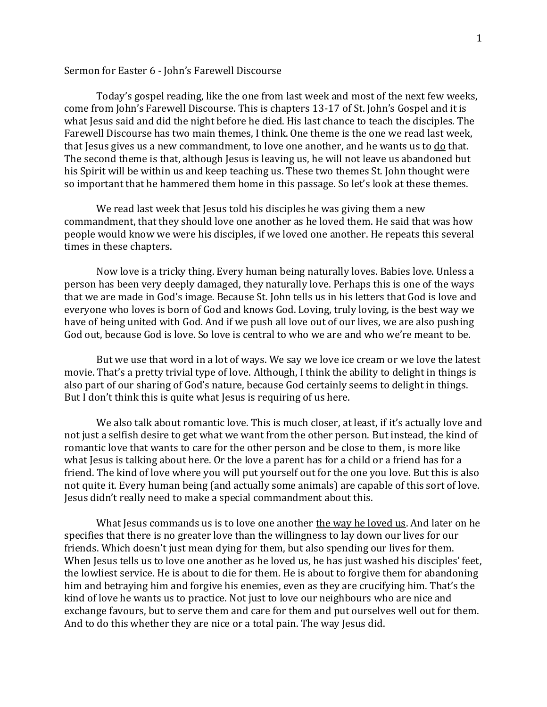## Sermon for Easter 6 - John's Farewell Discourse

Today's gospel reading, like the one from last week and most of the next few weeks, come from John's Farewell Discourse. This is chapters 13-17 of St. John's Gospel and it is what Jesus said and did the night before he died. His last chance to teach the disciples. The Farewell Discourse has two main themes, I think. One theme is the one we read last week, that Jesus gives us a new commandment, to love one another, and he wants us to  $\underline{do}$  that. The second theme is that, although Jesus is leaving us, he will not leave us abandoned but his Spirit will be within us and keep teaching us. These two themes St. John thought were so important that he hammered them home in this passage. So let's look at these themes.

We read last week that Jesus told his disciples he was giving them a new commandment, that they should love one another as he loved them. He said that was how people would know we were his disciples, if we loved one another. He repeats this several times in these chapters.

Now love is a tricky thing. Every human being naturally loves. Babies love. Unless a person has been very deeply damaged, they naturally love. Perhaps this is one of the ways that we are made in God's image. Because St. John tells us in his letters that God is love and everyone who loves is born of God and knows God. Loving, truly loving, is the best way we have of being united with God. And if we push all love out of our lives, we are also pushing God out, because God is love. So love is central to who we are and who we're meant to be.

But we use that word in a lot of ways. We say we love ice cream or we love the latest movie. That's a pretty trivial type of love. Although, I think the ability to delight in things is also part of our sharing of God's nature, because God certainly seems to delight in things. But I don't think this is quite what Jesus is requiring of us here.

We also talk about romantic love. This is much closer, at least, if it's actually love and not just a selfish desire to get what we want from the other person. But instead, the kind of romantic love that wants to care for the other person and be close to them, is more like what Jesus is talking about here. Or the love a parent has for a child or a friend has for a friend. The kind of love where you will put yourself out for the one you love. But this is also not quite it. Every human being (and actually some animals) are capable of this sort of love. Jesus didn't really need to make a special commandment about this.

What Jesus commands us is to love one another the way he loved us. And later on he specifies that there is no greater love than the willingness to lay down our lives for our friends. Which doesn't just mean dying for them, but also spending our lives for them. When Jesus tells us to love one another as he loved us, he has just washed his disciples' feet, the lowliest service. He is about to die for them. He is about to forgive them for abandoning him and betraying him and forgive his enemies, even as they are crucifying him. That's the kind of love he wants us to practice. Not just to love our neighbours who are nice and exchange favours, but to serve them and care for them and put ourselves well out for them. And to do this whether they are nice or a total pain. The way Jesus did.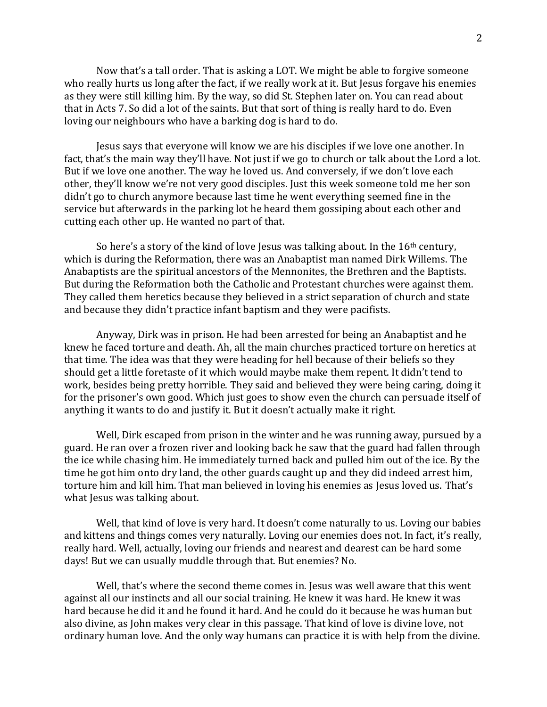Now that's a tall order. That is asking a LOT. We might be able to forgive someone who really hurts us long after the fact, if we really work at it. But Jesus forgave his enemies as they were still killing him. By the way, so did St. Stephen later on. You can read about that in Acts 7. So did a lot of the saints. But that sort of thing is really hard to do. Even loving our neighbours who have a barking dog is hard to do.

Jesus says that everyone will know we are his disciples if we love one another. In fact, that's the main way they'll have. Not just if we go to church or talk about the Lord a lot. But if we love one another. The way he loved us. And conversely, if we don't love each other, they'll know we're not very good disciples. Just this week someone told me her son didn't go to church anymore because last time he went everything seemed fine in the service but afterwards in the parking lot he heard them gossiping about each other and cutting each other up. He wanted no part of that.

So here's a story of the kind of love Jesus was talking about. In the  $16<sup>th</sup>$  century, which is during the Reformation, there was an Anabaptist man named Dirk Willems. The Anabaptists are the spiritual ancestors of the Mennonites, the Brethren and the Baptists. But during the Reformation both the Catholic and Protestant churches were against them. They called them heretics because they believed in a strict separation of church and state and because they didn't practice infant baptism and they were pacifists.

Anyway, Dirk was in prison. He had been arrested for being an Anabaptist and he knew he faced torture and death. Ah, all the main churches practiced torture on heretics at that time. The idea was that they were heading for hell because of their beliefs so they should get a little foretaste of it which would maybe make them repent. It didn't tend to work, besides being pretty horrible. They said and believed they were being caring, doing it for the prisoner's own good. Which just goes to show even the church can persuade itself of anything it wants to do and justify it. But it doesn't actually make it right.

Well, Dirk escaped from prison in the winter and he was running away, pursued by a guard. He ran over a frozen river and looking back he saw that the guard had fallen through the ice while chasing him. He immediately turned back and pulled him out of the ice. By the time he got him onto dry land, the other guards caught up and they did indeed arrest him, torture him and kill him. That man believed in loving his enemies as Jesus loved us. That's what Jesus was talking about.

Well, that kind of love is very hard. It doesn't come naturally to us. Loving our babies and kittens and things comes very naturally. Loving our enemies does not. In fact, it's really, really hard. Well, actually, loving our friends and nearest and dearest can be hard some days! But we can usually muddle through that. But enemies? No.

Well, that's where the second theme comes in. Jesus was well aware that this went against all our instincts and all our social training. He knew it was hard. He knew it was hard because he did it and he found it hard. And he could do it because he was human but also divine, as John makes very clear in this passage. That kind of love is divine love, not ordinary human love. And the only way humans can practice it is with help from the divine.